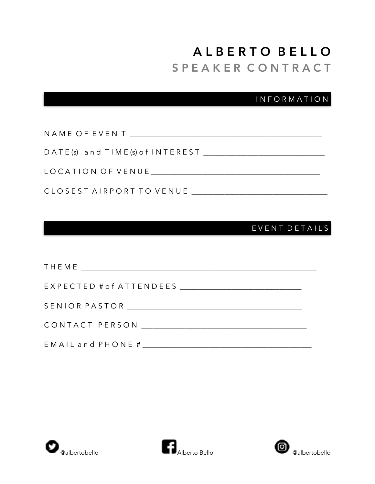# A L B E R T O B E L L O S P E A K E R C O N T R A C T

## I N F O R M A T I O N

| NAME OF EVENT TEAMS IN THE STATE OF EVENT      |
|------------------------------------------------|
| D A T E (s) and T I M E (s) of I N T E R E S T |
|                                                |
| CLOSEST AIRPORT TO VENUE                       |

## E V E N T D E T A I L S

| EMAIL and PHONE # |
|-------------------|